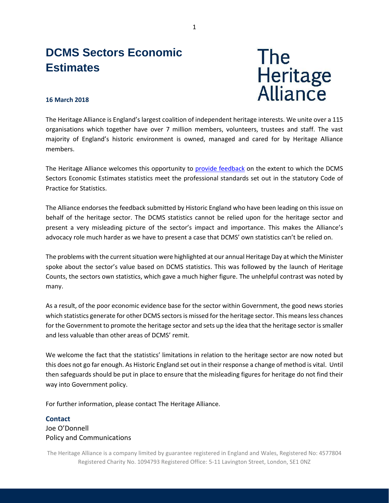## **DCMS Sectors Economic Estimates**



## **16 March 2018**

The Heritage Alliance is England's largest coalition of independent heritage interests. We unite over a 115 organisations which together have over 7 million members, volunteers, trustees and staff. The vast majority of England's historic environment is owned, managed and cared for by Heritage Alliance members.

The Heritage Alliance welcomes this opportunity to [provide feedback](https://www.statisticsauthority.gov.uk/osr/assessment/current-future-assessments/assessment-of-dcms-sectors-economic-estimates/) on the extent to which the DCMS Sectors Economic Estimates statistics meet the professional standards set out in the statutory Code of Practice for Statistics.

The Alliance endorses the feedback submitted by Historic England who have been leading on this issue on behalf of the heritage sector. The DCMS statistics cannot be relied upon for the heritage sector and present a very misleading picture of the sector's impact and importance. This makes the Alliance's advocacy role much harder as we have to present a case that DCMS' own statistics can't be relied on.

The problems with the current situation were highlighted at our annual Heritage Day at which the Minister spoke about the sector's value based on DCMS statistics. This was followed by the launch of Heritage Counts, the sectors own statistics, which gave a much higher figure. The unhelpful contrast was noted by many.

As a result, of the poor economic evidence base for the sector within Government, the good news stories which statistics generate for other DCMS sectors is missed for the heritage sector. This means less chances for the Government to promote the heritage sector and sets up the idea that the heritage sector is smaller and less valuable than other areas of DCMS' remit.

We welcome the fact that the statistics' limitations in relation to the heritage sector are now noted but this does not go far enough. As Historic England set out in their response a change of method is vital. Until then safeguards should be put in place to ensure that the misleading figures for heritage do not find their way into Government policy.

For further information, please contact The Heritage Alliance.

## **Contact** Joe O'Donnell Policy and Communications

The Heritage Alliance is a company limited by guarantee registered in England and Wales, Registered No: 4577804 Registered Charity No. 1094793 Registered Office: 5-11 Lavington Street, London, SE1 0NZ